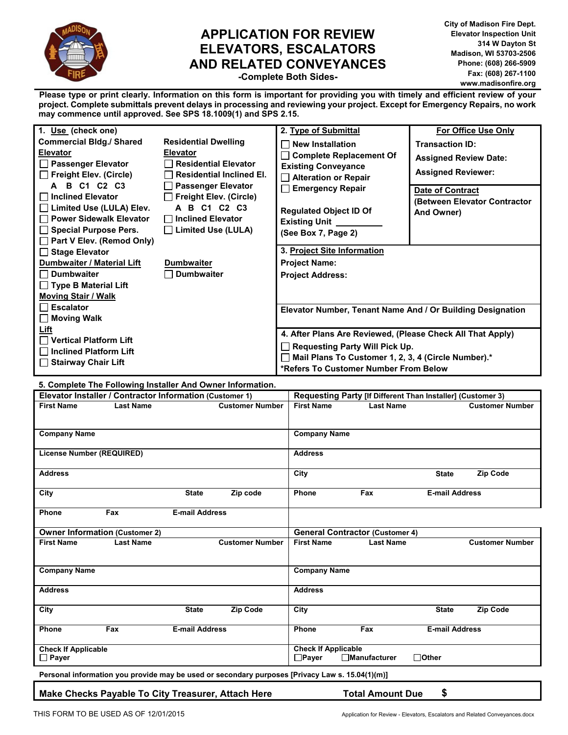

# **APPLICATION FOR REVIEW ELEVATORS, ESCALATORS AND RELATED CONVEYANCES**

**City of Madison Fire Dept. Elevator Inspection Unit 314 W Dayton St Madison, WI 53703-2506 Phone: (608) 266-5909 Fax: (608) 267-1100 www.madisonfire.org** 

**-Complete Both Sides-**

**Please type or print clearly. Information on this form is important for providing you with timely and efficient review of your project. Complete submittals prevent delays in processing and reviewing your project. Except for Emergency Repairs, no work may commence until approved. See SPS 18.1009(1) and SPS 2.15.** 

| 1. Use (check one)                                        |                                                         | 2. Type of Submittal                                       | <b>For Office Use Only</b>   |
|-----------------------------------------------------------|---------------------------------------------------------|------------------------------------------------------------|------------------------------|
| <b>Commercial Bldg./ Shared</b>                           | <b>Residential Dwelling</b>                             | <b>New Installation</b>                                    | <b>Transaction ID:</b>       |
| <b>Elevator</b>                                           | <b>Elevator</b>                                         | $\Box$ Complete Replacement Of                             | <b>Assigned Review Date:</b> |
| □ Passenger Elevator                                      | <b>Residential Elevator</b>                             | <b>Existing Conveyance</b>                                 |                              |
| $\Box$ Freight Elev. (Circle)                             | <b>Residential Inclined El.</b>                         | Alteration or Repair                                       | <b>Assigned Reviewer:</b>    |
| A B C1 C2 C3                                              | <b>Passenger Elevator</b>                               | Emergency Repair                                           | <b>Date of Contract</b>      |
| $\Box$ Inclined Elevator                                  | $\Box$ Freight Elev. (Circle)                           |                                                            | (Between Elevator Contractor |
| □ Limited Use (LULA) Elev.                                | A B C1 C2 C3                                            | <b>Regulated Object ID Of</b>                              | And Owner)                   |
| □ Power Sidewalk Elevator                                 | <b>Ⅰ Inclined Elevator</b><br>$\Box$ Limited Use (LULA) | <b>Existing Unit</b>                                       |                              |
| $\Box$ Special Purpose Pers.<br>Part V Elev. (Remod Only) |                                                         | (See Box 7, Page 2)                                        |                              |
| □ Stage Elevator                                          |                                                         | 3. Project Site Information                                |                              |
| Dumbwaiter / Material Lift                                | <b>Dumbwaiter</b>                                       | <b>Project Name:</b>                                       |                              |
| $\Box$ Dumbwaiter                                         | <b>Dumbwaiter</b>                                       | <b>Project Address:</b>                                    |                              |
| $\Box$ Type B Material Lift                               |                                                         |                                                            |                              |
| <b>Moving Stair / Walk</b>                                |                                                         |                                                            |                              |
| Escalator                                                 |                                                         | Elevator Number, Tenant Name And / Or Building Designation |                              |
| │ │ Moving Walk                                           |                                                         |                                                            |                              |
| Lift                                                      |                                                         | 4. After Plans Are Reviewed, (Please Check All That Apply) |                              |
| $\Box$ Vertical Platform Lift                             |                                                         | <b>Requesting Party Will Pick Up.</b>                      |                              |
| $\Box$ Inclined Platform Lift                             |                                                         | Mail Plans To Customer 1, 2, 3, 4 (Circle Number).*        |                              |
| □ Stairway Chair Lift                                     |                                                         | *Refers To Customer Number From Below                      |                              |

**5. Complete The Following Installer And Owner Information.** 

| 0. OUTING THE FURNING INSIGNST AND OWNER INTERNATION.<br>Elevator Installer / Contractor Information (Customer 1) |                  |                       |                                                                                                 |                                            | Requesting Party [If Different Than Installer] (Customer 3) |                       |                        |  |  |  |
|-------------------------------------------------------------------------------------------------------------------|------------------|-----------------------|-------------------------------------------------------------------------------------------------|--------------------------------------------|-------------------------------------------------------------|-----------------------|------------------------|--|--|--|
| <b>First Name</b>                                                                                                 | <b>Last Name</b> |                       | <b>Customer Number</b>                                                                          | <b>First Name</b>                          | <b>Last Name</b>                                            |                       | <b>Customer Number</b> |  |  |  |
|                                                                                                                   |                  |                       |                                                                                                 |                                            |                                                             |                       |                        |  |  |  |
| <b>Company Name</b>                                                                                               |                  |                       |                                                                                                 | <b>Company Name</b>                        |                                                             |                       |                        |  |  |  |
| <b>License Number (REQUIRED)</b>                                                                                  |                  |                       |                                                                                                 | <b>Address</b>                             |                                                             |                       |                        |  |  |  |
| <b>Address</b>                                                                                                    |                  |                       |                                                                                                 | City                                       |                                                             | <b>State</b>          | <b>Zip Code</b>        |  |  |  |
| City                                                                                                              |                  | <b>State</b>          | Zip code                                                                                        | Phone                                      | Fax                                                         | <b>E-mail Address</b> |                        |  |  |  |
| Phone                                                                                                             | Fax              | <b>E-mail Address</b> |                                                                                                 |                                            |                                                             |                       |                        |  |  |  |
| <b>Owner Information (Customer 2)</b>                                                                             |                  |                       |                                                                                                 | <b>General Contractor (Customer 4)</b>     |                                                             |                       |                        |  |  |  |
| <b>First Name</b>                                                                                                 | <b>Last Name</b> |                       | <b>Customer Number</b>                                                                          | <b>First Name</b>                          | <b>Last Name</b>                                            |                       | <b>Customer Number</b> |  |  |  |
|                                                                                                                   |                  |                       |                                                                                                 |                                            |                                                             |                       |                        |  |  |  |
| <b>Company Name</b>                                                                                               |                  |                       |                                                                                                 | <b>Company Name</b>                        |                                                             |                       |                        |  |  |  |
| <b>Address</b>                                                                                                    |                  |                       |                                                                                                 | <b>Address</b>                             |                                                             |                       |                        |  |  |  |
| City                                                                                                              |                  | <b>State</b>          | <b>Zip Code</b>                                                                                 | City                                       |                                                             | <b>State</b>          | <b>Zip Code</b>        |  |  |  |
| <b>Phone</b>                                                                                                      | Fax              | <b>E-mail Address</b> |                                                                                                 | Phone                                      | Fax                                                         | <b>E-mail Address</b> |                        |  |  |  |
| <b>Check If Applicable</b><br>$\Box$ Payer                                                                        |                  |                       |                                                                                                 | <b>Check If Applicable</b><br>$\Box$ Payer | $\Box$ Manufacturer                                         | $\Box$ Other          |                        |  |  |  |
|                                                                                                                   |                  |                       | Personal information you provide may be used or secondary purposes [Privacy Law s. 15.04(1)(m)] |                                            |                                                             |                       |                        |  |  |  |

## **Make Checks Payable To City Treasurer, Attach Here Total Amount Due \$**